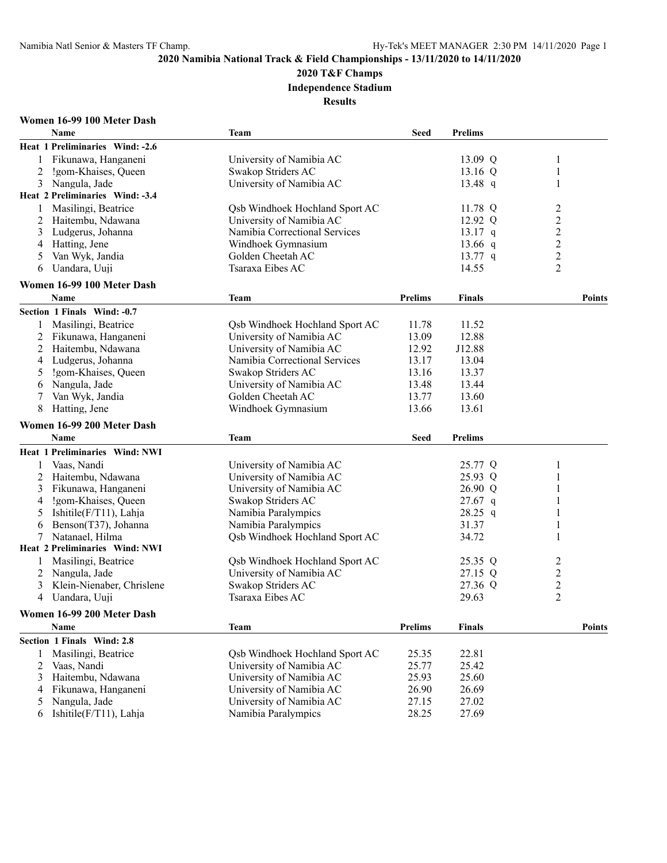**2020 T&F Champs**

**Independence Stadium**

**Results**

## **Women 16-99 100 Meter Dash**

|   | Name                            | <b>Team</b>                    | <b>Seed</b>    | <b>Prelims</b> |                  |               |
|---|---------------------------------|--------------------------------|----------------|----------------|------------------|---------------|
|   | Heat 1 Preliminaries Wind: -2.6 |                                |                |                |                  |               |
| 1 | Fikunawa, Hanganeni             | University of Namibia AC       |                | 13.09 Q        | 1                |               |
| 2 | !gom-Khaises, Queen             | Swakop Striders AC             |                | 13.16 Q        | 1                |               |
| 3 | Nangula, Jade                   | University of Namibia AC       |                | $13.48$ q      | 1                |               |
|   | Heat 2 Preliminaries Wind: -3.4 |                                |                |                |                  |               |
| 1 | Masilingi, Beatrice             | Qsb Windhoek Hochland Sport AC |                | 11.78 Q        | 2                |               |
| 2 | Haitembu, Ndawana               | University of Namibia AC       |                | 12.92 Q        | $\overline{c}$   |               |
| 3 | Ludgerus, Johanna               | Namibia Correctional Services  |                | $13.17$ q      | $\boldsymbol{2}$ |               |
| 4 | Hatting, Jene                   | Windhoek Gymnasium             |                | 13.66 $q$      | $\overline{c}$   |               |
| 5 | Van Wyk, Jandia                 | Golden Cheetah AC              |                | $13.77$ q      | $\overline{c}$   |               |
| 6 | Uandara, Uuji                   | Tsaraxa Eibes AC               |                | 14.55          | $\overline{c}$   |               |
|   |                                 |                                |                |                |                  |               |
|   | Women 16-99 100 Meter Dash      |                                |                |                |                  | <b>Points</b> |
|   | Name                            | <b>Team</b>                    | <b>Prelims</b> | <b>Finals</b>  |                  |               |
|   | Section 1 Finals Wind: -0.7     |                                |                |                |                  |               |
| 1 | Masilingi, Beatrice             | Qsb Windhoek Hochland Sport AC | 11.78          | 11.52          |                  |               |
| 2 | Fikunawa, Hanganeni             | University of Namibia AC       | 13.09          | 12.88          |                  |               |
| 2 | Haitembu, Ndawana               | University of Namibia AC       | 12.92          | J12.88         |                  |               |
| 4 | Ludgerus, Johanna               | Namibia Correctional Services  | 13.17          | 13.04          |                  |               |
| 5 | !gom-Khaises, Queen             | Swakop Striders AC             | 13.16          | 13.37          |                  |               |
| 6 | Nangula, Jade                   | University of Namibia AC       | 13.48          | 13.44          |                  |               |
| 7 | Van Wyk, Jandia                 | Golden Cheetah AC              | 13.77          | 13.60          |                  |               |
| 8 | Hatting, Jene                   | Windhoek Gymnasium             | 13.66          | 13.61          |                  |               |
|   | Women 16-99 200 Meter Dash      |                                |                |                |                  |               |
|   | <b>Name</b>                     | <b>Team</b>                    | <b>Seed</b>    | <b>Prelims</b> |                  |               |
|   | Heat 1 Preliminaries Wind: NWI  |                                |                |                |                  |               |
| 1 | Vaas, Nandi                     | University of Namibia AC       |                | 25.77 Q        | 1                |               |
| 2 | Haitembu, Ndawana               | University of Namibia AC       |                | 25.93 Q        | 1                |               |
| 3 | Fikunawa, Hanganeni             | University of Namibia AC       |                | 26.90 Q        | 1                |               |
| 4 | !gom-Khaises, Queen             | Swakop Striders AC             |                | $27.67$ q      | 1                |               |
| 5 | Ishitile(F/T11), Lahja          | Namibia Paralympics            |                | 28.25 q        | 1                |               |
| 6 | Benson(T37), Johanna            | Namibia Paralympics            |                | 31.37          | 1                |               |
| 7 | Natanael, Hilma                 | Qsb Windhoek Hochland Sport AC |                | 34.72          | 1                |               |
|   | Heat 2 Preliminaries Wind: NWI  |                                |                |                |                  |               |
| 1 | Masilingi, Beatrice             | Qsb Windhoek Hochland Sport AC |                | 25.35 Q        | $\overline{c}$   |               |
| 2 | Nangula, Jade                   | University of Namibia AC       |                | 27.15 Q        | $\overline{c}$   |               |
| 3 | Klein-Nienaber, Chrislene       | Swakop Striders AC             |                | 27.36 Q        | $\boldsymbol{2}$ |               |
| 4 | Uandara, Uuji                   | Tsaraxa Eibes AC               |                | 29.63          | $\overline{2}$   |               |
|   |                                 |                                |                |                |                  |               |
|   | Women 16-99 200 Meter Dash      |                                |                |                |                  |               |
|   | Name                            | <b>Team</b>                    | <b>Prelims</b> | <b>Finals</b>  |                  | <b>Points</b> |
|   | Section 1 Finals Wind: 2.8      |                                |                |                |                  |               |
| 1 | Masilingi, Beatrice             | Qsb Windhoek Hochland Sport AC | 25.35          | 22.81          |                  |               |
| 2 | Vaas, Nandi                     | University of Namibia AC       | 25.77          | 25.42          |                  |               |
| 3 | Haitembu, Ndawana               | University of Namibia AC       | 25.93          | 25.60          |                  |               |
| 4 | Fikunawa, Hanganeni             | University of Namibia AC       | 26.90          | 26.69          |                  |               |
| 5 | Nangula, Jade                   | University of Namibia AC       | 27.15          | 27.02          |                  |               |
| 6 | Ishitile(F/T11), Lahja          | Namibia Paralympics            | 28.25          | 27.69          |                  |               |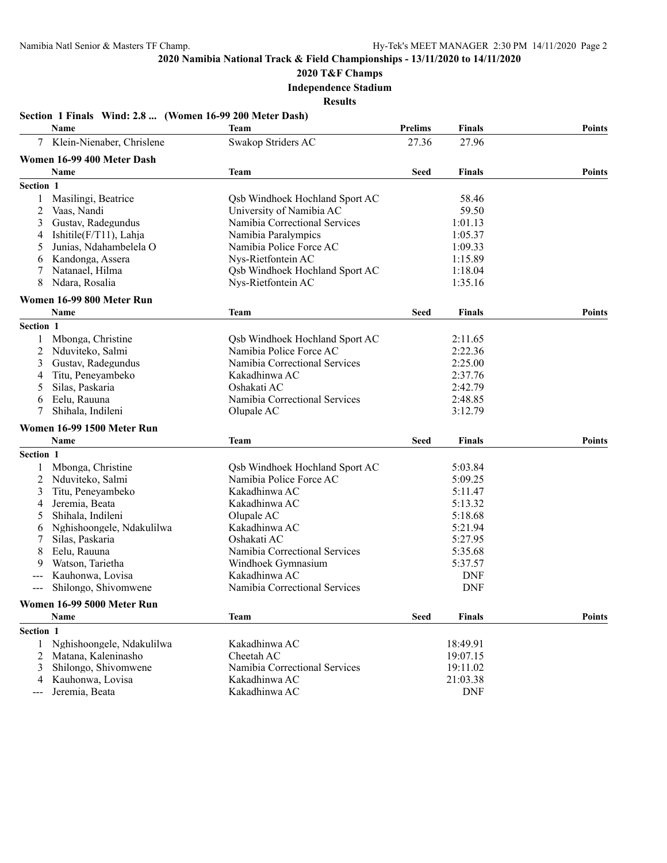**2020 T&F Champs**

**Independence Stadium**

**Results**

## **Section 1 Finals Wind: 2.8 ... (Women 16-99 200 Meter Dash)**

|           | Name                       | <b>Team</b>                    | <b>Prelims</b> | <b>Finals</b> | <b>Points</b> |
|-----------|----------------------------|--------------------------------|----------------|---------------|---------------|
|           | Klein-Nienaber, Chrislene  | Swakop Striders AC             | 27.36          | 27.96         |               |
|           | Women 16-99 400 Meter Dash |                                |                |               |               |
|           | Name                       | <b>Team</b>                    | Seed           | <b>Finals</b> | <b>Points</b> |
| Section 1 |                            |                                |                |               |               |
|           | Masilingi, Beatrice        | Qsb Windhoek Hochland Sport AC |                | 58.46         |               |
| 2         | Vaas, Nandi                | University of Namibia AC       |                | 59.50         |               |
| 3         | Gustav, Radegundus         | Namibia Correctional Services  |                | 1:01.13       |               |
| 4         | Ishitile(F/T11), Lahja     | Namibia Paralympics            |                | 1:05.37       |               |
| 5         | Junias, Ndahambelela O     | Namibia Police Force AC        |                | 1:09.33       |               |
| 6         | Kandonga, Assera           | Nys-Rietfontein AC             |                | 1:15.89       |               |
|           | Natanael, Hilma            | Qsb Windhoek Hochland Sport AC |                | 1:18.04       |               |
| 8         | Ndara, Rosalia             | Nys-Rietfontein AC             |                | 1:35.16       |               |
|           | Women 16-99 800 Meter Run  |                                |                |               |               |
|           | <b>Name</b>                | Team                           | Seed           | <b>Finals</b> | <b>Points</b> |
| Section 1 |                            |                                |                |               |               |
| 1         | Mbonga, Christine          | Qsb Windhoek Hochland Sport AC |                | 2:11.65       |               |
| 2         | Nduviteko, Salmi           | Namibia Police Force AC        |                | 2:22.36       |               |
| 3         | Gustav, Radegundus         | Namibia Correctional Services  |                | 2:25.00       |               |
| 4         | Titu, Peneyambeko          | Kakadhinwa AC                  |                | 2:37.76       |               |
| 5         | Silas, Paskaria            | Oshakati AC                    |                | 2:42.79       |               |
| 6         | Eelu, Rauuna               | Namibia Correctional Services  |                | 2:48.85       |               |
|           | Shihala, Indileni          | Olupale AC                     |                | 3:12.79       |               |
|           | Women 16-99 1500 Meter Run |                                |                |               |               |
|           | Name                       | Team                           | Seed           | <b>Finals</b> | <b>Points</b> |
|           |                            |                                |                |               |               |
| Section 1 |                            |                                |                |               |               |
|           | Mbonga, Christine          | Osb Windhoek Hochland Sport AC |                | 5:03.84       |               |
| 2         | Nduviteko, Salmi           | Namibia Police Force AC        |                | 5:09.25       |               |
| 3         | Titu, Peneyambeko          | Kakadhinwa AC                  |                | 5:11.47       |               |
| 4         | Jeremia, Beata             | Kakadhinwa AC                  |                | 5:13.32       |               |
| 5         | Shihala, Indileni          | Olupale AC                     |                | 5:18.68       |               |
| 6         | Nghishoongele, Ndakulilwa  | Kakadhinwa AC                  |                | 5:21.94       |               |
| 7         | Silas, Paskaria            | Oshakati AC                    |                | 5:27.95       |               |
| 8         | Eelu, Rauuna               | Namibia Correctional Services  |                | 5:35.68       |               |
| 9         | Watson, Tarietha           | Windhoek Gymnasium             |                | 5:37.57       |               |
|           | Kauhonwa, Lovisa           | Kakadhinwa AC                  |                | <b>DNF</b>    |               |
| $--$      | Shilongo, Shivomwene       | Namibia Correctional Services  |                | <b>DNF</b>    |               |
|           | Women 16-99 5000 Meter Run |                                |                |               |               |
|           | Name                       | <b>Team</b>                    | <b>Seed</b>    | <b>Finals</b> | <b>Points</b> |
| Section 1 |                            |                                |                |               |               |
| 1         | Nghishoongele, Ndakulilwa  | Kakadhinwa AC                  |                | 18:49.91      |               |
| 2         | Matana, Kaleninasho        | Cheetah AC                     |                | 19:07.15      |               |
| 3         | Shilongo, Shivomwene       | Namibia Correctional Services  |                | 19:11.02      |               |
| 4         | Kauhonwa, Lovisa           | Kakadhinwa AC                  |                | 21:03.38      |               |
| ---       | Jeremia, Beata             | Kakadhinwa AC                  |                | <b>DNF</b>    |               |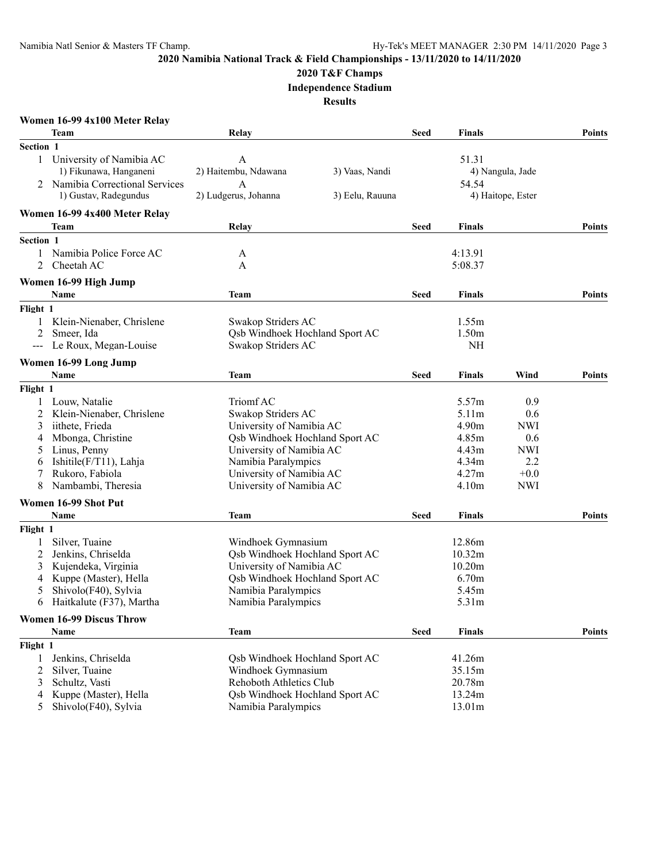#### **2020 T&F Champs**

**Independence Stadium**

|                     | Women 16-99 4x100 Meter Relay              |                                       |                 |             |                    |                   |               |
|---------------------|--------------------------------------------|---------------------------------------|-----------------|-------------|--------------------|-------------------|---------------|
|                     | Team                                       | Relay                                 |                 | Seed        | <b>Finals</b>      |                   | <b>Points</b> |
| Section 1           |                                            |                                       |                 |             |                    |                   |               |
|                     | 1 University of Namibia AC                 | A                                     |                 |             | 51.31              |                   |               |
|                     | 1) Fikunawa, Hanganeni                     | 2) Haitembu, Ndawana                  | 3) Vaas, Nandi  |             |                    | 4) Nangula, Jade  |               |
| 2                   | Namibia Correctional Services              | A                                     |                 |             | 54.54              |                   |               |
|                     | 1) Gustav, Radegundus                      | 2) Ludgerus, Johanna                  | 3) Eelu, Rauuna |             |                    | 4) Haitope, Ester |               |
|                     | Women 16-99 4x400 Meter Relay              |                                       |                 |             |                    |                   |               |
|                     | Team                                       | Relay                                 |                 | Seed        | <b>Finals</b>      |                   | <b>Points</b> |
| Section 1           |                                            |                                       |                 |             |                    |                   |               |
| $\mathbf{1}$        | Namibia Police Force AC                    | A                                     |                 |             | 4:13.91            |                   |               |
| 2                   | Cheetah AC                                 | A                                     |                 |             | 5:08.37            |                   |               |
|                     | Women 16-99 High Jump                      |                                       |                 |             |                    |                   |               |
|                     | Name                                       | Team                                  |                 | Seed        | Finals             |                   | <b>Points</b> |
| Flight 1            |                                            |                                       |                 |             |                    |                   |               |
|                     | 1 Klein-Nienaber, Chrislene                | Swakop Striders AC                    |                 |             | 1.55m              |                   |               |
| 2                   | Smeer, Ida                                 | Osb Windhoek Hochland Sport AC        |                 |             | 1.50 <sub>m</sub>  |                   |               |
| $\qquad \qquad - -$ | Le Roux, Megan-Louise                      | Swakop Striders AC                    |                 |             | <b>NH</b>          |                   |               |
|                     |                                            |                                       |                 |             |                    |                   |               |
|                     | Women 16-99 Long Jump<br><b>Name</b>       | Team                                  |                 | Seed        | <b>Finals</b>      | Wind              | <b>Points</b> |
|                     |                                            |                                       |                 |             |                    |                   |               |
| Flight 1            |                                            | Triomf AC                             |                 |             | 5.57m              | 0.9               |               |
| 2                   | Louw, Natalie<br>Klein-Nienaber, Chrislene | Swakop Striders AC                    |                 |             | 5.11m              | 0.6               |               |
|                     | iithete, Frieda                            | University of Namibia AC              |                 |             | 4.90 <sub>m</sub>  | <b>NWI</b>        |               |
| 3                   | Mbonga, Christine                          | Qsb Windhoek Hochland Sport AC        |                 |             | 4.85m              | 0.6               |               |
| 4                   |                                            |                                       |                 |             |                    |                   |               |
| 5                   | Linus, Penny                               | University of Namibia AC              |                 |             | 4.43m              | <b>NWI</b>        |               |
| 6                   | Ishitile(F/T11), Lahja                     | Namibia Paralympics                   |                 |             | 4.34m              | 2.2               |               |
| 7                   | Rukoro, Fabiola                            | University of Namibia AC              |                 |             | 4.27m              | $+0.0$            |               |
| 8                   | Nambambi, Theresia                         | University of Namibia AC              |                 |             | 4.10m              | <b>NWI</b>        |               |
|                     | Women 16-99 Shot Put                       |                                       |                 |             |                    |                   |               |
|                     | Name                                       | Team                                  |                 | Seed        | <b>Finals</b>      |                   | <b>Points</b> |
| Flight 1            |                                            |                                       |                 |             |                    |                   |               |
| 1                   | Silver, Tuaine                             | Windhoek Gymnasium                    |                 |             | 12.86m             |                   |               |
| 2                   | Jenkins, Chriselda                         | <b>Qsb Windhoek Hochland Sport AC</b> |                 |             | 10.32m             |                   |               |
| 3                   | Kujendeka, Virginia                        | University of Namibia AC              |                 |             | 10.20 <sub>m</sub> |                   |               |
| 4                   | Kuppe (Master), Hella                      | Osb Windhoek Hochland Sport AC        |                 |             | 6.70m              |                   |               |
| 5                   | Shivolo(F40), Sylvia                       | Namibia Paralympics                   |                 |             | 5.45m              |                   |               |
|                     | 6 Haitkalute (F37), Martha                 | Namibia Paralympics                   |                 |             | 5.31m              |                   |               |
|                     | <b>Women 16-99 Discus Throw</b>            |                                       |                 |             |                    |                   |               |
|                     | Name                                       | <b>Team</b>                           |                 | <b>Seed</b> | <b>Finals</b>      |                   | <b>Points</b> |
| Flight 1            |                                            |                                       |                 |             |                    |                   |               |
| 1                   | Jenkins, Chriselda                         | Qsb Windhoek Hochland Sport AC        |                 |             | 41.26m             |                   |               |
| 2                   | Silver, Tuaine                             | Windhoek Gymnasium                    |                 |             | 35.15m             |                   |               |
| 3                   | Schultz, Vasti                             | Rehoboth Athletics Club               |                 |             | 20.78m             |                   |               |
| 4                   | Kuppe (Master), Hella                      | Qsb Windhoek Hochland Sport AC        |                 |             | 13.24m             |                   |               |
| 5 <sup>5</sup>      | Shivolo(F40), Sylvia                       | Namibia Paralympics                   |                 |             | 13.01m             |                   |               |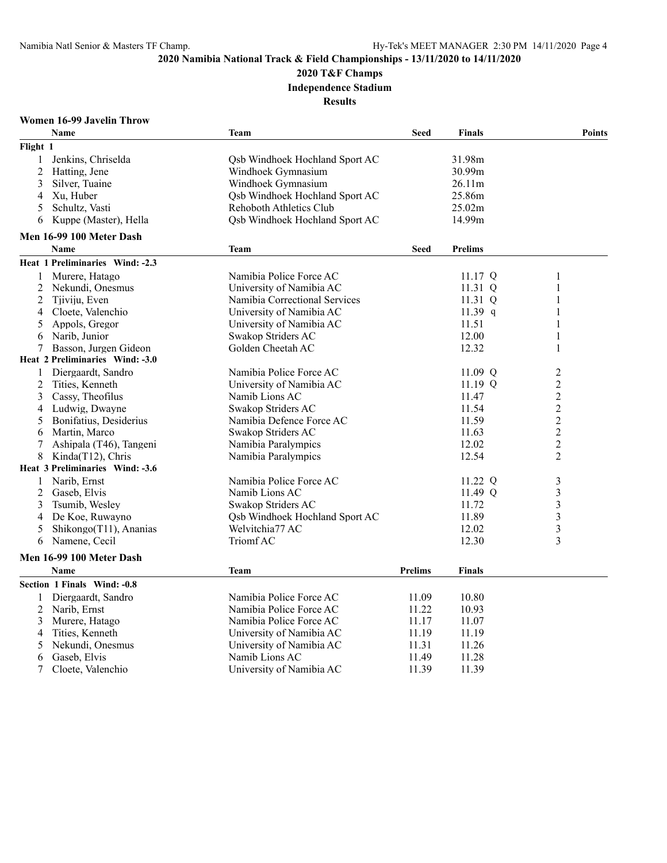**2020 T&F Champs**

**Independence Stadium**

**Results**

## **Women 16-99 Javelin Throw**

|                | Name                            | <b>Team</b>                    | <b>Seed</b>    | <b>Finals</b>  | <b>Points</b>           |
|----------------|---------------------------------|--------------------------------|----------------|----------------|-------------------------|
| Flight 1       |                                 |                                |                |                |                         |
| 1              | Jenkins, Chriselda              | Qsb Windhoek Hochland Sport AC |                | 31.98m         |                         |
| $\overline{2}$ | Hatting, Jene                   | Windhoek Gymnasium             |                | 30.99m         |                         |
| 3              | Silver, Tuaine                  | Windhoek Gymnasium             |                | 26.11m         |                         |
| 4              | Xu, Huber                       | Osb Windhoek Hochland Sport AC |                | 25.86m         |                         |
| 5              | Schultz, Vasti                  | Rehoboth Athletics Club        |                | 25.02m         |                         |
| 6              | Kuppe (Master), Hella           | Qsb Windhoek Hochland Sport AC |                | 14.99m         |                         |
|                | Men 16-99 100 Meter Dash        |                                |                |                |                         |
|                | <b>Name</b>                     | <b>Team</b>                    | <b>Seed</b>    | <b>Prelims</b> |                         |
|                | Heat 1 Preliminaries Wind: -2.3 |                                |                |                |                         |
| 1              | Murere, Hatago                  | Namibia Police Force AC        |                | 11.17 Q        | 1                       |
| 2              | Nekundi, Onesmus                | University of Namibia AC       |                | 11.31 Q        | 1                       |
| $\overline{2}$ | Tjiviju, Even                   | Namibia Correctional Services  |                | 11.31 Q        | 1                       |
| 4              | Cloete, Valenchio               | University of Namibia AC       |                | 11.39 q        | 1                       |
| 5              | Appols, Gregor                  | University of Namibia AC       |                | 11.51          | 1                       |
| 6              | Narib, Junior                   | Swakop Striders AC             |                | 12.00          | 1                       |
| 7              | Basson, Jurgen Gideon           | Golden Cheetah AC              |                | 12.32          | $\mathbf{1}$            |
|                | Heat 2 Preliminaries Wind: -3.0 |                                |                |                |                         |
| 1              | Diergaardt, Sandro              | Namibia Police Force AC        |                | 11.09 Q        | 2                       |
| 2              | Tities, Kenneth                 | University of Namibia AC       |                | 11.19 Q        | $\overline{2}$          |
| 3              | Cassy, Theofilus                | Namib Lions AC                 |                | 11.47          | $\overline{c}$          |
| 4              | Ludwig, Dwayne                  | Swakop Striders AC             |                | 11.54          | $\overline{c}$          |
| 5              | Bonifatius, Desiderius          | Namibia Defence Force AC       |                | 11.59          | $\overline{2}$          |
| 6              | Martin, Marco                   | Swakop Striders AC             |                | 11.63          | $\overline{c}$          |
| 7              | Ashipala (T46), Tangeni         | Namibia Paralympics            |                | 12.02          | $\overline{c}$          |
| 8              | Kinda(T12), Chris               | Namibia Paralympics            |                | 12.54          | $\overline{2}$          |
|                | Heat 3 Preliminaries Wind: -3.6 |                                |                |                |                         |
| 1              | Narib, Ernst                    | Namibia Police Force AC        |                | 11.22 Q        | 3                       |
| 2              | Gaseb, Elvis                    | Namib Lions AC                 |                | 11.49 Q        | $\overline{\mathbf{3}}$ |
| 3              | Tsumib, Wesley                  | Swakop Striders AC             |                | 11.72          | 3                       |
| 4              | De Koe, Ruwayno                 | Osb Windhoek Hochland Sport AC |                | 11.89          | $\overline{\mathbf{3}}$ |
| 5              | Shikongo(T11), Ananias          | Welvitchia77 AC                |                | 12.02          | $\overline{\mathbf{3}}$ |
| 6              | Namene, Cecil                   | Triomf AC                      |                | 12.30          | $\overline{\mathbf{3}}$ |
|                | Men 16-99 100 Meter Dash        |                                |                |                |                         |
|                | <b>Name</b>                     |                                | <b>Prelims</b> | <b>Finals</b>  |                         |
|                |                                 | <b>Team</b>                    |                |                |                         |
|                | Section 1 Finals Wind: -0.8     |                                |                |                |                         |
| 1              | Diergaardt, Sandro              | Namibia Police Force AC        | 11.09          | 10.80          |                         |
| 2              | Narib, Ernst                    | Namibia Police Force AC        | 11.22          | 10.93          |                         |
| 3              | Murere, Hatago                  | Namibia Police Force AC        | 11.17          | 11.07          |                         |
| 4              | Tities, Kenneth                 | University of Namibia AC       | 11.19          | 11.19          |                         |
| 5              | Nekundi, Onesmus                | University of Namibia AC       | 11.31          | 11.26          |                         |
| 6              | Gaseb, Elvis                    | Namib Lions AC                 | 11.49          | 11.28          |                         |
| 7              | Cloete, Valenchio               | University of Namibia AC       | 11.39          | 11.39          |                         |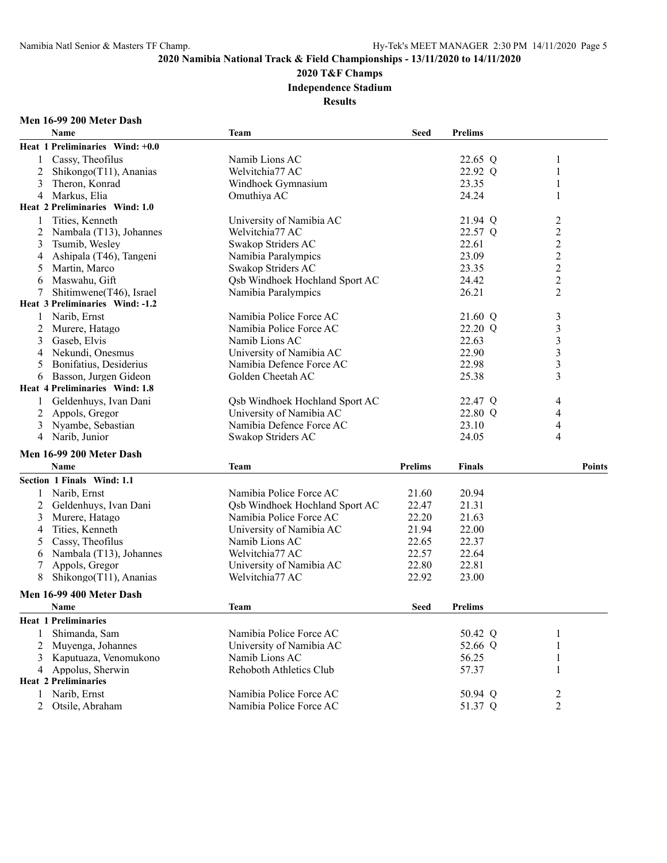## **2020 T&F Champs**

**Independence Stadium**

**Results**

## **Men 16-99 200 Meter Dash**

|                | Name                            | <b>Team</b>                           | Seed           | <b>Prelims</b> |                                  |
|----------------|---------------------------------|---------------------------------------|----------------|----------------|----------------------------------|
|                | Heat 1 Preliminaries Wind: +0.0 |                                       |                |                |                                  |
| 1              | Cassy, Theofilus                | Namib Lions AC                        |                | 22.65 Q        | 1                                |
| 2              | Shikongo(T11), Ananias          | Welvitchia77 AC                       |                | 22.92 Q        | 1                                |
| 3              | Theron, Konrad                  | Windhoek Gymnasium                    |                | 23.35          | 1                                |
| 4              | Markus, Elia                    | Omuthiya AC                           |                | 24.24          | $\mathbf{1}$                     |
|                | Heat 2 Preliminaries Wind: 1.0  |                                       |                |                |                                  |
|                | Tities, Kenneth                 | University of Namibia AC              |                | 21.94 Q        | $\overline{c}$                   |
| 2              | Nambala (T13), Johannes         | Welvitchia77 AC                       |                | 22.57 Q        | $\sqrt{2}$                       |
| 3              | Tsumib, Wesley                  | Swakop Striders AC                    |                | 22.61          | $\overline{c}$                   |
| 4              | Ashipala (T46), Tangeni         | Namibia Paralympics                   |                | 23.09          | $\overline{c}$                   |
| 5              | Martin, Marco                   | Swakop Striders AC                    |                | 23.35          |                                  |
| 6              | Maswahu, Gift                   | <b>Qsb Windhoek Hochland Sport AC</b> |                | 24.42          | $\frac{2}{2}$                    |
| 7              | Shitimwene(T46), Israel         | Namibia Paralympics                   |                | 26.21          | $\overline{2}$                   |
|                | Heat 3 Preliminaries Wind: -1.2 |                                       |                |                |                                  |
|                | Narib, Ernst                    | Namibia Police Force AC               |                | 21.60 Q        |                                  |
| 1              |                                 | Namibia Police Force AC               |                |                | $\mathfrak{Z}$<br>$\mathfrak{Z}$ |
| 2              | Murere, Hatago                  | Namib Lions AC                        |                | 22.20 Q        | $\overline{\mathbf{3}}$          |
| 3              | Gaseb, Elvis                    |                                       |                | 22.63          |                                  |
| 4              | Nekundi, Onesmus                | University of Namibia AC              |                | 22.90          | $\overline{\mathbf{3}}$          |
| 5              | Bonifatius, Desiderius          | Namibia Defence Force AC              |                | 22.98          | $\overline{\mathbf{3}}$          |
| 6              | Basson, Jurgen Gideon           | Golden Cheetah AC                     |                | 25.38          | 3                                |
|                | Heat 4 Preliminaries Wind: 1.8  |                                       |                |                |                                  |
| 1              | Geldenhuys, Ivan Dani           | <b>Qsb Windhoek Hochland Sport AC</b> |                | 22.47 Q        | 4                                |
| 2              | Appols, Gregor                  | University of Namibia AC              |                | 22.80 Q        | 4                                |
| 3              | Nyambe, Sebastian               | Namibia Defence Force AC              |                | 23.10          | 4                                |
| 4              | Narib, Junior                   | Swakop Striders AC                    |                | 24.05          | 4                                |
|                | Men 16-99 200 Meter Dash        |                                       |                |                |                                  |
|                | Name                            | <b>Team</b>                           | <b>Prelims</b> | <b>Finals</b>  | <b>Points</b>                    |
|                | Section 1 Finals Wind: 1.1      |                                       |                |                |                                  |
| 1              | Narib, Ernst                    | Namibia Police Force AC               | 21.60          | 20.94          |                                  |
| 2              | Geldenhuys, Ivan Dani           | Osb Windhoek Hochland Sport AC        | 22.47          | 21.31          |                                  |
| 3              | Murere, Hatago                  | Namibia Police Force AC               | 22.20          | 21.63          |                                  |
| 4              | Tities, Kenneth                 | University of Namibia AC              | 21.94          | 22.00          |                                  |
| 5              | Cassy, Theofilus                | Namib Lions AC                        | 22.65          | 22.37          |                                  |
| 6              | Nambala (T13), Johannes         | Welvitchia77 AC                       | 22.57          | 22.64          |                                  |
| 7              | Appols, Gregor                  | University of Namibia AC              | 22.80          | 22.81          |                                  |
| 8              | Shikongo(T11), Ananias          | Welvitchia77 AC                       | 22.92          | 23.00          |                                  |
|                |                                 |                                       |                |                |                                  |
|                | Men 16-99 400 Meter Dash        |                                       |                |                |                                  |
|                | Name                            | <b>Team</b>                           | Seed           | <b>Prelims</b> |                                  |
|                | <b>Heat 1 Preliminaries</b>     |                                       |                |                |                                  |
|                | Shimanda, Sam                   | Namibia Police Force AC               |                | 50.42 Q        | 1                                |
| 2              | Muyenga, Johannes               | University of Namibia AC              |                | 52.66 Q        | 1                                |
| 3              | Kaputuaza, Venomukono           | Namib Lions AC                        |                | 56.25          | $\mathbf{1}$                     |
|                | 4 Appolus, Sherwin              | Rehoboth Athletics Club               |                | 57.37          | $\mathbf{1}$                     |
|                | <b>Heat 2 Preliminaries</b>     |                                       |                |                |                                  |
|                | 1 Narib, Ernst                  | Namibia Police Force AC               |                | 50.94 Q        | 2                                |
| $\overline{2}$ | Otsile, Abraham                 | Namibia Police Force AC               |                | 51.37 Q        | $\overline{2}$                   |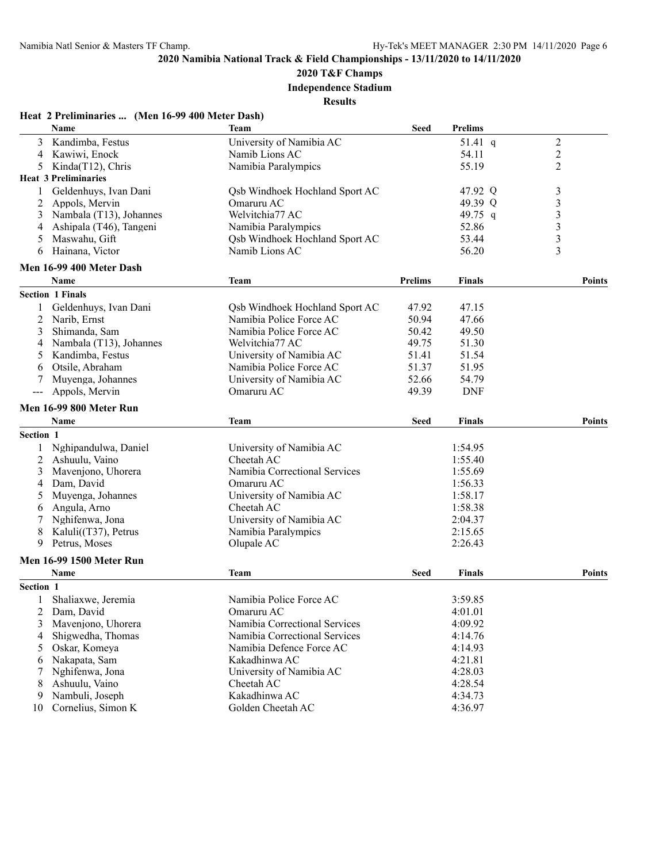**2020 T&F Champs**

**Independence Stadium**

|           | <b>Name</b>                           | Team                                  | <b>Seed</b>    | <b>Prelims</b>     |                         |
|-----------|---------------------------------------|---------------------------------------|----------------|--------------------|-------------------------|
| 3         | Kandimba, Festus                      | University of Namibia AC              |                | 51.41 $q$          | $\overline{2}$          |
| 4         | Kawiwi, Enock                         | Namib Lions AC                        |                | 54.11              | $\mathbf{2}$            |
| 5         | Kinda(T12), Chris                     | Namibia Paralympics                   |                | 55.19              | $\overline{2}$          |
|           | <b>Heat 3 Preliminaries</b>           |                                       |                |                    |                         |
| 1         | Geldenhuys, Ivan Dani                 | Qsb Windhoek Hochland Sport AC        |                | 47.92 Q            | 3                       |
| 2         | Appols, Mervin                        | Omaruru AC                            |                | 49.39 Q            | $\overline{\mathbf{3}}$ |
| 3         | Nambala (T13), Johannes               | Welvitchia77 AC                       |                | 49.75 q            |                         |
| 4         | Ashipala (T46), Tangeni               | Namibia Paralympics                   |                | 52.86              | $\frac{3}{3}$           |
| 5         | Maswahu, Gift                         | <b>Qsb Windhoek Hochland Sport AC</b> |                | 53.44              | $\overline{3}$          |
| 6         | Hainana, Victor                       | Namib Lions AC                        |                | 56.20              | 3                       |
|           | Men 16-99 400 Meter Dash              |                                       |                |                    |                         |
|           | Name                                  | <b>Team</b>                           | <b>Prelims</b> | <b>Finals</b>      | <b>Points</b>           |
|           | <b>Section 1 Finals</b>               |                                       |                |                    |                         |
| 1         | Geldenhuys, Ivan Dani                 | Qsb Windhoek Hochland Sport AC        | 47.92          | 47.15              |                         |
| 2         | Narib, Ernst                          | Namibia Police Force AC               | 50.94          | 47.66              |                         |
| 3         | Shimanda, Sam                         | Namibia Police Force AC               | 50.42          | 49.50              |                         |
| 4         | Nambala (T13), Johannes               | Welvitchia77 AC                       | 49.75          | 51.30              |                         |
| 5         | Kandimba, Festus                      | University of Namibia AC              | 51.41          | 51.54              |                         |
| 6         | Otsile, Abraham                       | Namibia Police Force AC               | 51.37          | 51.95              |                         |
| 7         | Muyenga, Johannes                     | University of Namibia AC              | 52.66          | 54.79              |                         |
| $---$     | Appols, Mervin                        | Omaruru AC                            | 49.39          | <b>DNF</b>         |                         |
|           | <b>Men 16-99 800 Meter Run</b>        |                                       |                |                    |                         |
|           | Name                                  | Team                                  | <b>Seed</b>    | <b>Finals</b>      | <b>Points</b>           |
| Section 1 |                                       |                                       |                |                    |                         |
| 1         | Nghipandulwa, Daniel                  | University of Namibia AC              |                | 1:54.95            |                         |
| 2         | Ashuulu, Vaino                        | Cheetah AC                            |                | 1:55.40            |                         |
| 3         | Mavenjono, Uhorera                    | Namibia Correctional Services         |                | 1:55.69            |                         |
| 4         | Dam, David                            | Omaruru AC                            |                | 1:56.33            |                         |
| 5         | Muyenga, Johannes                     | University of Namibia AC              |                | 1:58.17            |                         |
| 6         | Angula, Arno                          | Cheetah AC                            |                | 1:58.38            |                         |
| 7         | Nghifenwa, Jona                       | University of Namibia AC              |                | 2:04.37            |                         |
| 8         | Kaluli(T37), Petrus                   | Namibia Paralympics                   |                | 2:15.65            |                         |
| 9         | Petrus, Moses                         | Olupale AC                            |                | 2:26.43            |                         |
|           |                                       |                                       |                |                    |                         |
|           | Men 16-99 1500 Meter Run<br>Name      | Team                                  | <b>Seed</b>    | <b>Finals</b>      | <b>Points</b>           |
| Section 1 |                                       |                                       |                |                    |                         |
|           |                                       |                                       |                |                    |                         |
|           | 1 Shaliaxwe, Jeremia                  | Namibia Police Force AC               |                | 3:59.85            |                         |
| 2         | Dam, David                            | Omaruru AC                            |                | 4:01.01            |                         |
| 3         | Mavenjono, Uhorera                    | Namibia Correctional Services         |                | 4:09.92            |                         |
| 4         | Shigwedha, Thomas                     | Namibia Correctional Services         |                | 4:14.76            |                         |
| 5         | Oskar, Komeya                         | Namibia Defence Force AC              |                | 4:14.93            |                         |
| 6         | Nakapata, Sam                         | Kakadhinwa AC                         |                | 4:21.81            |                         |
| 7         | Nghifenwa, Jona                       | University of Namibia AC              |                | 4:28.03            |                         |
| 8         | Ashuulu, Vaino                        | Cheetah AC                            |                | 4:28.54            |                         |
|           |                                       |                                       |                |                    |                         |
| 9<br>10   | Nambuli, Joseph<br>Cornelius, Simon K | Kakadhinwa AC<br>Golden Cheetah AC    |                | 4:34.73<br>4:36.97 |                         |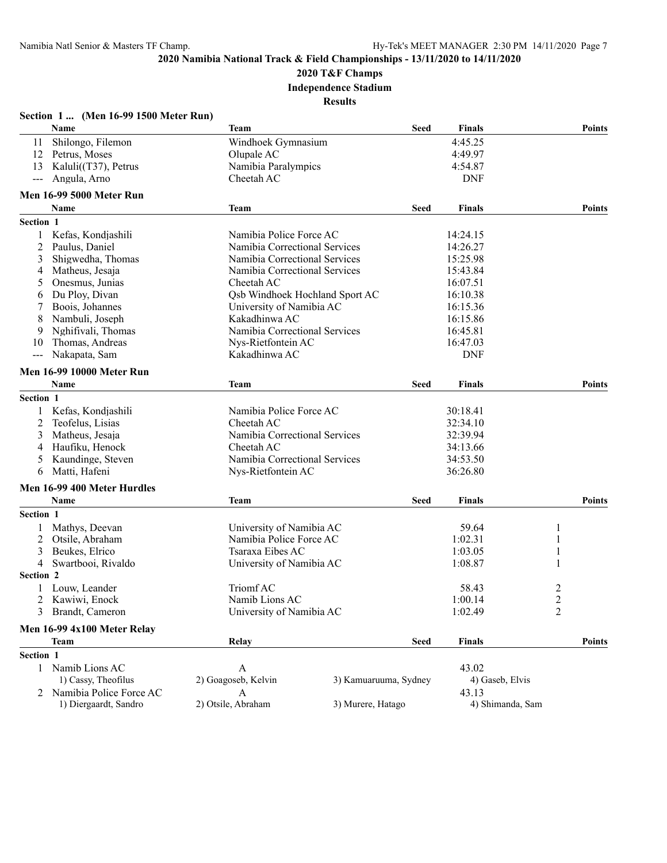# **2020 T&F Champs**

**Independence Stadium**

|                | Section 1  (Men 16-99 1500 Meter Run) |                                |                       |                  |                  |               |
|----------------|---------------------------------------|--------------------------------|-----------------------|------------------|------------------|---------------|
|                | Name                                  | <b>Team</b>                    | <b>Seed</b>           | <b>Finals</b>    |                  | <b>Points</b> |
| 11             | Shilongo, Filemon                     | Windhoek Gymnasium             |                       | 4:45.25          |                  |               |
|                | 12 Petrus, Moses                      | Olupale AC                     |                       | 4:49.97          |                  |               |
| 13             | Kaluli $(T37)$ , Petrus               | Namibia Paralympics            |                       | 4:54.87          |                  |               |
| $---$          | Angula, Arno                          | Cheetah AC                     |                       | <b>DNF</b>       |                  |               |
|                | <b>Men 16-99 5000 Meter Run</b>       |                                |                       |                  |                  |               |
|                | <b>Name</b>                           | <b>Team</b>                    | <b>Seed</b>           | <b>Finals</b>    |                  | <b>Points</b> |
| Section 1      |                                       |                                |                       |                  |                  |               |
| 1              | Kefas, Kondjashili                    | Namibia Police Force AC        |                       | 14:24.15         |                  |               |
| 2              | Paulus, Daniel                        | Namibia Correctional Services  |                       | 14:26.27         |                  |               |
| 3              | Shigwedha, Thomas                     | Namibia Correctional Services  |                       | 15:25.98         |                  |               |
| 4              | Matheus, Jesaja                       | Namibia Correctional Services  |                       | 15:43.84         |                  |               |
| 5              | Onesmus, Junias                       | Cheetah AC                     |                       | 16:07.51         |                  |               |
| 6              | Du Ploy, Divan                        | Qsb Windhoek Hochland Sport AC |                       | 16:10.38         |                  |               |
| 7              | Boois, Johannes                       | University of Namibia AC       |                       | 16:15.36         |                  |               |
| 8              | Nambuli, Joseph                       | Kakadhinwa AC                  |                       | 16:15.86         |                  |               |
| 9              | Nghifivali, Thomas                    | Namibia Correctional Services  |                       | 16:45.81         |                  |               |
| 10             | Thomas, Andreas                       | Nys-Rietfontein AC             |                       | 16:47.03         |                  |               |
|                | Nakapata, Sam                         | Kakadhinwa AC                  |                       | <b>DNF</b>       |                  |               |
|                | <b>Men 16-99 10000 Meter Run</b>      |                                |                       |                  |                  |               |
|                | Name                                  | <b>Team</b>                    | <b>Seed</b>           | <b>Finals</b>    |                  | <b>Points</b> |
| Section 1      |                                       |                                |                       |                  |                  |               |
| 1              | Kefas, Kondjashili                    | Namibia Police Force AC        |                       | 30:18.41         |                  |               |
| 2              | Teofelus, Lisias                      | Cheetah AC                     |                       | 32:34.10         |                  |               |
| 3              | Matheus, Jesaja                       | Namibia Correctional Services  |                       | 32:39.94         |                  |               |
| 4              | Haufiku, Henock                       | Cheetah AC                     |                       | 34:13.66         |                  |               |
| 5              | Kaundinge, Steven                     | Namibia Correctional Services  |                       | 34:53.50         |                  |               |
| 6              | Matti, Hafeni                         | Nys-Rietfontein AC             |                       | 36:26.80         |                  |               |
|                |                                       |                                |                       |                  |                  |               |
|                | Men 16-99 400 Meter Hurdles<br>Name   | Team                           | <b>Seed</b>           | <b>Finals</b>    |                  | Points        |
| Section 1      |                                       |                                |                       |                  |                  |               |
|                |                                       |                                |                       |                  |                  |               |
| 1              | Mathys, Deevan                        | University of Namibia AC       |                       | 59.64            | 1                |               |
| 2              | Otsile, Abraham                       | Namibia Police Force AC        |                       | 1:02.31          | 1                |               |
| 3              | Beukes, Elrico                        | Tsaraxa Eibes AC               |                       | 1:03.05          | 1                |               |
| $\overline{4}$ | Swartbooi, Rivaldo                    | University of Namibia AC       |                       | 1:08.87          | $\mathbf{1}$     |               |
| Section 2      |                                       |                                |                       |                  |                  |               |
| 1              | Louw, Leander                         | Triomf AC                      |                       | 58.43            | $\overline{2}$   |               |
| 2              | Kawiwi, Enock                         | Namib Lions AC                 |                       | 1:00.14          | $\boldsymbol{2}$ |               |
| 3              | Brandt, Cameron                       | University of Namibia AC       |                       | 1:02.49          | $\overline{2}$   |               |
|                | Men 16-99 4x100 Meter Relay           |                                |                       |                  |                  |               |
|                | <b>Team</b>                           | Relay                          | <b>Seed</b>           | <b>Finals</b>    |                  | <b>Points</b> |
| Section 1      |                                       |                                |                       |                  |                  |               |
|                | 1 Namib Lions AC                      | $\mathbf{A}$                   |                       | 43.02            |                  |               |
|                | 1) Cassy, Theofilus                   | 2) Goagoseb, Kelvin            | 3) Kamuaruuma, Sydney | 4) Gaseb, Elvis  |                  |               |
|                | Namibia Police Force AC               | A                              |                       | 43.13            |                  |               |
|                | 1) Diergaardt, Sandro                 | 2) Otsile, Abraham             | 3) Murere, Hatago     | 4) Shimanda, Sam |                  |               |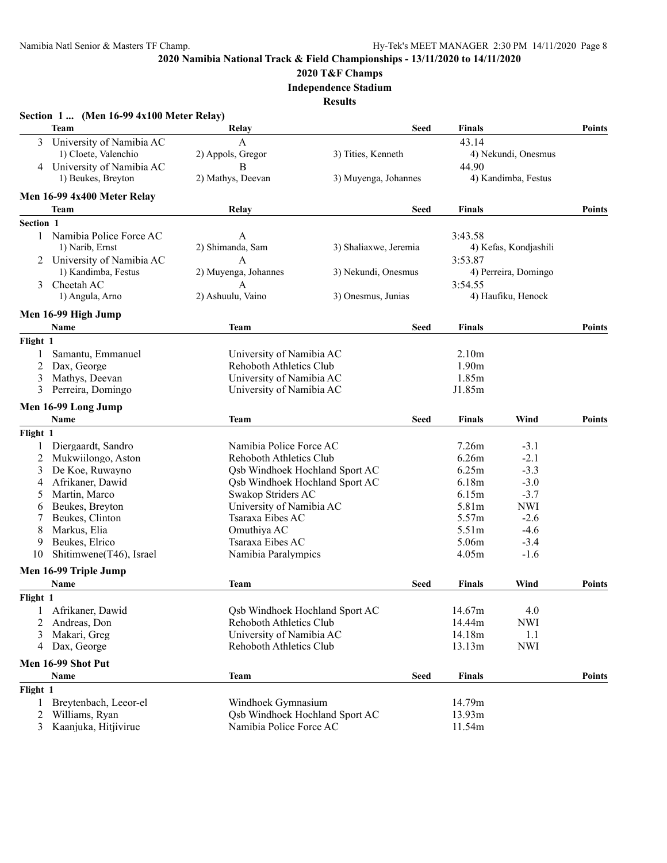## **2020 T&F Champs**

**Independence Stadium**

|                | <b>Team</b>                 | Relay                                 | <b>Seed</b>           | <b>Finals</b>     |                       | <b>Points</b> |
|----------------|-----------------------------|---------------------------------------|-----------------------|-------------------|-----------------------|---------------|
| 3              | University of Namibia AC    | $\mathbf{A}$                          |                       | 43.14             |                       |               |
|                | 1) Cloete, Valenchio        | 2) Appols, Gregor                     | 3) Tities, Kenneth    |                   | 4) Nekundi, Onesmus   |               |
|                | 4 University of Namibia AC  | B                                     |                       | 44.90             |                       |               |
|                | 1) Beukes, Breyton          | 2) Mathys, Deevan                     | 3) Muyenga, Johannes  |                   | 4) Kandimba, Festus   |               |
|                | Men 16-99 4x400 Meter Relay |                                       |                       |                   |                       |               |
|                | Team                        | Relay                                 | Seed                  | <b>Finals</b>     |                       | <b>Points</b> |
| Section 1      |                             |                                       |                       |                   |                       |               |
|                | 1 Namibia Police Force AC   | A                                     |                       | 3:43.58           |                       |               |
|                | 1) Narib, Ernst             | 2) Shimanda, Sam                      | 3) Shaliaxwe, Jeremia |                   | 4) Kefas, Kondjashili |               |
|                | 2 University of Namibia AC  | A                                     |                       | 3:53.87           |                       |               |
|                | 1) Kandimba, Festus         | 2) Muyenga, Johannes                  | 3) Nekundi, Onesmus   |                   | 4) Perreira, Domingo  |               |
| 3              | Cheetah AC                  | A                                     |                       | 3:54.55           |                       |               |
|                | 1) Angula, Arno             | 2) Ashuulu, Vaino                     | 3) Onesmus, Junias    |                   | 4) Haufiku, Henock    |               |
|                | Men 16-99 High Jump         |                                       |                       |                   |                       |               |
|                | Name                        | Team                                  | <b>Seed</b>           | <b>Finals</b>     |                       | <b>Points</b> |
| Flight 1       |                             |                                       |                       |                   |                       |               |
| 1              | Samantu, Emmanuel           | University of Namibia AC              |                       | 2.10 <sub>m</sub> |                       |               |
| 2              | Dax, George                 | <b>Rehoboth Athletics Club</b>        |                       | 1.90m             |                       |               |
| 3              | Mathys, Deevan              | University of Namibia AC              |                       | 1.85m             |                       |               |
| 3              | Perreira, Domingo           | University of Namibia AC              |                       | J1.85m            |                       |               |
|                | Men 16-99 Long Jump         |                                       |                       |                   |                       |               |
|                | Name                        | <b>Team</b>                           | Seed                  | <b>Finals</b>     | Wind                  | <b>Points</b> |
| Flight 1       |                             |                                       |                       |                   |                       |               |
| 1              | Diergaardt, Sandro          | Namibia Police Force AC               |                       | 7.26m             | $-3.1$                |               |
| 2              | Mukwiilongo, Aston          | <b>Rehoboth Athletics Club</b>        |                       | 6.26m             | $-2.1$                |               |
| 3              | De Koe, Ruwayno             | <b>Qsb Windhoek Hochland Sport AC</b> |                       | 6.25m             | $-3.3$                |               |
| 4              | Afrikaner, Dawid            | Qsb Windhoek Hochland Sport AC        |                       | 6.18m             | $-3.0$                |               |
| 5              | Martin, Marco               | Swakop Striders AC                    |                       | 6.15m             | $-3.7$                |               |
| 6              | Beukes, Breyton             | University of Namibia AC              |                       | 5.81m             | <b>NWI</b>            |               |
| 7              | Beukes, Clinton             | Tsaraxa Eibes AC                      |                       | 5.57m             | $-2.6$                |               |
| 8              | Markus, Elia                | Omuthiya AC                           |                       | 5.51 <sub>m</sub> | $-4.6$                |               |
| 9              | Beukes, Elrico              | Tsaraxa Eibes AC                      |                       | 5.06m             | $-3.4$                |               |
| 10             | Shitimwene(T46), Israel     | Namibia Paralympics                   |                       | 4.05m             | $-1.6$                |               |
|                | Men 16-99 Triple Jump       |                                       |                       |                   |                       |               |
|                | Name                        | Team                                  | Seed                  | <b>Finals</b>     | Wind                  | <b>Points</b> |
| Flight 1       |                             |                                       |                       |                   |                       |               |
|                | Afrikaner, Dawid            | <b>Qsb Windhoek Hochland Sport AC</b> |                       | 14.67m            | 4.0                   |               |
| 2              | Andreas, Don                | <b>Rehoboth Athletics Club</b>        |                       | 14.44m            | <b>NWI</b>            |               |
| 3              | Makari, Greg                | University of Namibia AC              |                       | 14.18m            | 1.1                   |               |
| 4              | Dax, George                 | <b>Rehoboth Athletics Club</b>        |                       | 13.13m            | <b>NWI</b>            |               |
|                | Men 16-99 Shot Put          |                                       |                       |                   |                       |               |
|                | Name                        | <b>Team</b>                           | <b>Seed</b>           | <b>Finals</b>     |                       | <b>Points</b> |
| Flight 1       |                             |                                       |                       |                   |                       |               |
| 1              | Breytenbach, Leeor-el       | Windhoek Gymnasium                    |                       | 14.79m            |                       |               |
| 2              | Williams, Ryan              | Qsb Windhoek Hochland Sport AC        |                       | 13.93m            |                       |               |
| $\mathfrak{Z}$ | Kaanjuka, Hitjivirue        | Namibia Police Force AC               |                       | 11.54m            |                       |               |